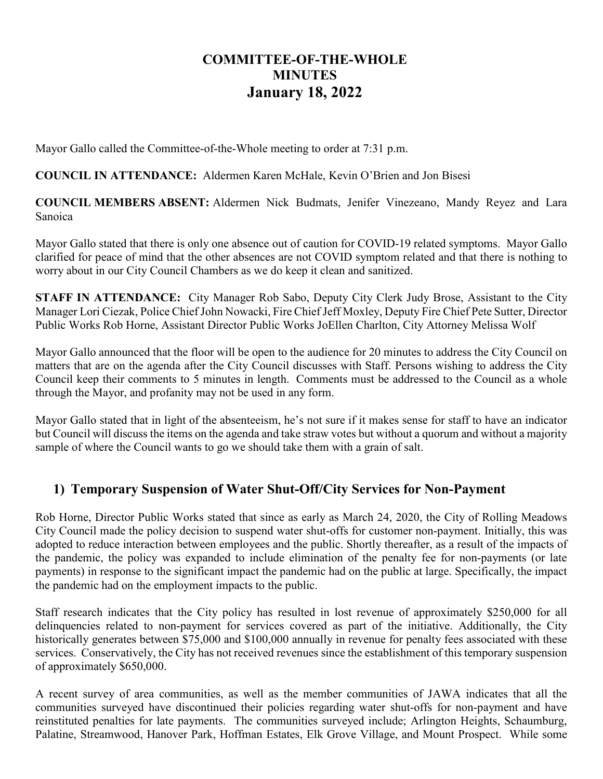## **COMMITTEE-OF-THE-WHOLE MINUTES January 18, 2022**

Mayor Gallo called the Committee-of-the-Whole meeting to order at 7:31 p.m.

## **COUNCIL IN ATTENDANCE:** Aldermen Karen McHale, Kevin O'Brien and Jon Bisesi

**COUNCIL MEMBERS ABSENT:** Aldermen Nick Budmats, Jenifer Vinezeano, Mandy Reyez and Lara Sanoica

Mayor Gallo stated that there is only one absence out of caution for COVID-19 related symptoms. Mayor Gallo clarified for peace of mind that the other absences are not COVID symptom related and that there is nothing to worry about in our City Council Chambers as we do keep it clean and sanitized.

**STAFF IN ATTENDANCE:** City Manager Rob Sabo, Deputy City Clerk Judy Brose, Assistant to the City Manager Lori Ciezak, Police Chief John Nowacki, Fire Chief Jeff Moxley, Deputy Fire Chief Pete Sutter, Director Public Works Rob Horne, Assistant Director Public Works JoEllen Charlton, City Attorney Melissa Wolf

Mayor Gallo announced that the floor will be open to the audience for 20 minutes to address the City Council on matters that are on the agenda after the City Council discusses with Staff. Persons wishing to address the City Council keep their comments to 5 minutes in length. Comments must be addressed to the Council as a whole through the Mayor, and profanity may not be used in any form.

Mayor Gallo stated that in light of the absenteeism, he's not sure if it makes sense for staff to have an indicator but Council will discuss the items on the agenda and take straw votes but without a quorum and without a majority sample of where the Council wants to go we should take them with a grain of salt.

## **1) Temporary Suspension of Water Shut-Off/City Services for Non-Payment**

Rob Horne, Director Public Works stated that since as early as March 24, 2020, the City of Rolling Meadows City Council made the policy decision to suspend water shut-offs for customer non-payment. Initially, this was adopted to reduce interaction between employees and the public. Shortly thereafter, as a result of the impacts of the pandemic, the policy was expanded to include elimination of the penalty fee for non-payments (or late payments) in response to the significant impact the pandemic had on the public at large. Specifically, the impact the pandemic had on the employment impacts to the public.

Staff research indicates that the City policy has resulted in lost revenue of approximately \$250,000 for all delinquencies related to non-payment for services covered as part of the initiative. Additionally, the City historically generates between \$75,000 and \$100,000 annually in revenue for penalty fees associated with these services. Conservatively, the City has not received revenues since the establishment of this temporary suspension of approximately \$650,000.

A recent survey of area communities, as well as the member communities of JAWA indicates that all the communities surveyed have discontinued their policies regarding water shut-offs for non-payment and have reinstituted penalties for late payments. The communities surveyed include; Arlington Heights, Schaumburg, Palatine, Streamwood, Hanover Park, Hoffman Estates, Elk Grove Village, and Mount Prospect. While some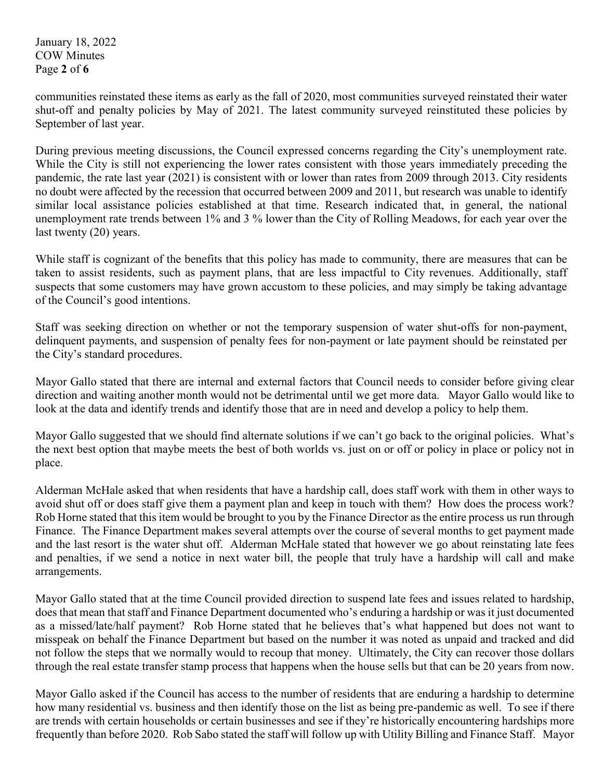January 18, 2022 COW Minutes Page **2** of **6**

communities reinstated these items as early as the fall of 2020, most communities surveyed reinstated their water shut-off and penalty policies by May of 2021. The latest community surveyed reinstituted these policies by September of last year.

During previous meeting discussions, the Council expressed concerns regarding the City's unemployment rate. While the City is still not experiencing the lower rates consistent with those years immediately preceding the pandemic, the rate last year (2021) is consistent with or lower than rates from 2009 through 2013. City residents no doubt were affected by the recession that occurred between 2009 and 2011, but research was unable to identify similar local assistance policies established at that time. Research indicated that, in general, the national unemployment rate trends between 1% and 3 % lower than the City of Rolling Meadows, for each year over the last twenty (20) years.

While staff is cognizant of the benefits that this policy has made to community, there are measures that can be taken to assist residents, such as payment plans, that are less impactful to City revenues. Additionally, staff suspects that some customers may have grown accustom to these policies, and may simply be taking advantage of the Council's good intentions.

Staff was seeking direction on whether or not the temporary suspension of water shut-offs for non-payment, delinquent payments, and suspension of penalty fees for non-payment or late payment should be reinstated per the City's standard procedures.

Mayor Gallo stated that there are internal and external factors that Council needs to consider before giving clear direction and waiting another month would not be detrimental until we get more data. Mayor Gallo would like to look at the data and identify trends and identify those that are in need and develop a policy to help them.

Mayor Gallo suggested that we should find alternate solutions if we can't go back to the original policies. What's the next best option that maybe meets the best of both worlds vs. just on or off or policy in place or policy not in place.

Alderman McHale asked that when residents that have a hardship call, does staff work with them in other ways to avoid shut off or does staff give them a payment plan and keep in touch with them? How does the process work? Rob Horne stated that this item would be brought to you by the Finance Director as the entire process us run through Finance. The Finance Department makes several attempts over the course of several months to get payment made and the last resort is the water shut off. Alderman McHale stated that however we go about reinstating late fees and penalties, if we send a notice in next water bill, the people that truly have a hardship will call and make arrangements.

Mayor Gallo stated that at the time Council provided direction to suspend late fees and issues related to hardship, does that mean that staff and Finance Department documented who's enduring a hardship or was it just documented as a missed/late/half payment? Rob Horne stated that he believes that's what happened but does not want to misspeak on behalf the Finance Department but based on the number it was noted as unpaid and tracked and did not follow the steps that we normally would to recoup that money. Ultimately, the City can recover those dollars through the real estate transfer stamp process that happens when the house sells but that can be 20 years from now.

Mayor Gallo asked if the Council has access to the number of residents that are enduring a hardship to determine how many residential vs. business and then identify those on the list as being pre-pandemic as well. To see if there are trends with certain households or certain businesses and see if they're historically encountering hardships more frequently than before 2020. Rob Sabo stated the staff will follow up with Utility Billing and Finance Staff. Mayor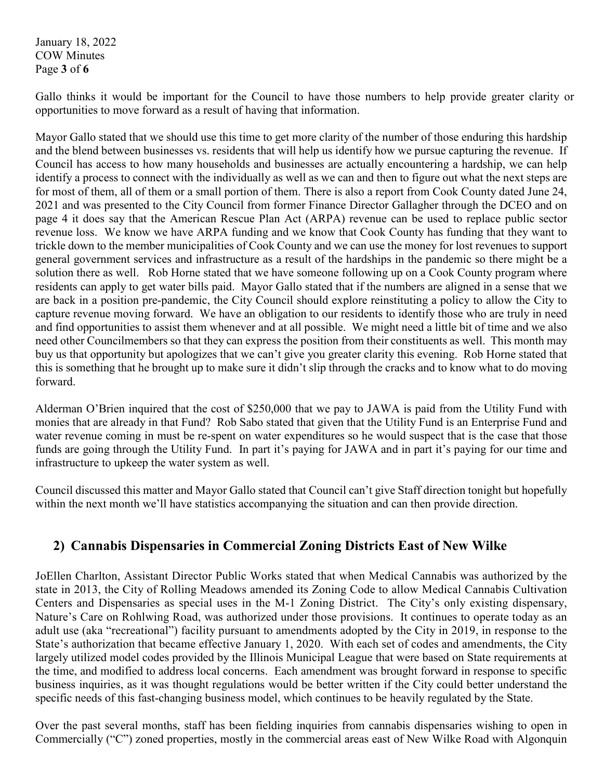January 18, 2022 COW Minutes Page **3** of **6**

Gallo thinks it would be important for the Council to have those numbers to help provide greater clarity or opportunities to move forward as a result of having that information.

Mayor Gallo stated that we should use this time to get more clarity of the number of those enduring this hardship and the blend between businesses vs. residents that will help us identify how we pursue capturing the revenue. If Council has access to how many households and businesses are actually encountering a hardship, we can help identify a process to connect with the individually as well as we can and then to figure out what the next steps are for most of them, all of them or a small portion of them. There is also a report from Cook County dated June 24, 2021 and was presented to the City Council from former Finance Director Gallagher through the DCEO and on page 4 it does say that the American Rescue Plan Act (ARPA) revenue can be used to replace public sector revenue loss. We know we have ARPA funding and we know that Cook County has funding that they want to trickle down to the member municipalities of Cook County and we can use the money for lost revenues to support general government services and infrastructure as a result of the hardships in the pandemic so there might be a solution there as well. Rob Horne stated that we have someone following up on a Cook County program where residents can apply to get water bills paid. Mayor Gallo stated that if the numbers are aligned in a sense that we are back in a position pre-pandemic, the City Council should explore reinstituting a policy to allow the City to capture revenue moving forward. We have an obligation to our residents to identify those who are truly in need and find opportunities to assist them whenever and at all possible. We might need a little bit of time and we also need other Councilmembers so that they can express the position from their constituents as well. This month may buy us that opportunity but apologizes that we can't give you greater clarity this evening. Rob Horne stated that this is something that he brought up to make sure it didn't slip through the cracks and to know what to do moving forward.

Alderman O'Brien inquired that the cost of \$250,000 that we pay to JAWA is paid from the Utility Fund with monies that are already in that Fund? Rob Sabo stated that given that the Utility Fund is an Enterprise Fund and water revenue coming in must be re-spent on water expenditures so he would suspect that is the case that those funds are going through the Utility Fund. In part it's paying for JAWA and in part it's paying for our time and infrastructure to upkeep the water system as well.

Council discussed this matter and Mayor Gallo stated that Council can't give Staff direction tonight but hopefully within the next month we'll have statistics accompanying the situation and can then provide direction.

## **2) Cannabis Dispensaries in Commercial Zoning Districts East of New Wilke**

JoEllen Charlton, Assistant Director Public Works stated that when Medical Cannabis was authorized by the state in 2013, the City of Rolling Meadows amended its Zoning Code to allow Medical Cannabis Cultivation Centers and Dispensaries as special uses in the M-1 Zoning District. The City's only existing dispensary, Nature's Care on Rohlwing Road, was authorized under those provisions. It continues to operate today as an adult use (aka "recreational") facility pursuant to amendments adopted by the City in 2019, in response to the State's authorization that became effective January 1, 2020. With each set of codes and amendments, the City largely utilized model codes provided by the Illinois Municipal League that were based on State requirements at the time, and modified to address local concerns. Each amendment was brought forward in response to specific business inquiries, as it was thought regulations would be better written if the City could better understand the specific needs of this fast-changing business model, which continues to be heavily regulated by the State.

Over the past several months, staff has been fielding inquiries from cannabis dispensaries wishing to open in Commercially ("C") zoned properties, mostly in the commercial areas east of New Wilke Road with Algonquin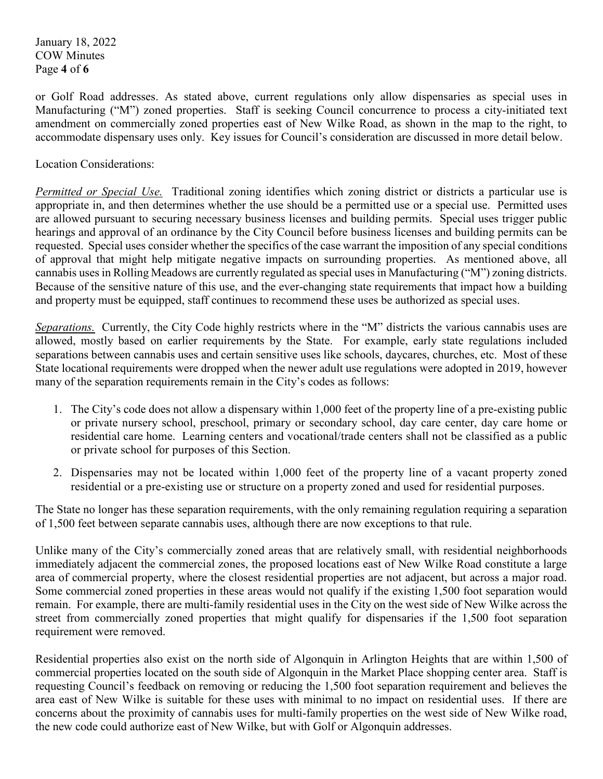January 18, 2022 COW Minutes Page **4** of **6**

or Golf Road addresses. As stated above, current regulations only allow dispensaries as special uses in Manufacturing ("M") zoned properties. Staff is seeking Council concurrence to process a city-initiated text amendment on commercially zoned properties east of New Wilke Road, as shown in the map to the right, to accommodate dispensary uses only. Key issues for Council's consideration are discussed in more detail below.

Location Considerations:

*Permitted or Special Use.* Traditional zoning identifies which zoning district or districts a particular use is appropriate in, and then determines whether the use should be a permitted use or a special use. Permitted uses are allowed pursuant to securing necessary business licenses and building permits. Special uses trigger public hearings and approval of an ordinance by the City Council before business licenses and building permits can be requested. Special uses consider whether the specifics of the case warrant the imposition of any special conditions of approval that might help mitigate negative impacts on surrounding properties. As mentioned above, all cannabis uses in Rolling Meadows are currently regulated as special uses in Manufacturing ("M") zoning districts. Because of the sensitive nature of this use, and the ever-changing state requirements that impact how a building and property must be equipped, staff continues to recommend these uses be authorized as special uses.

*Separations.* Currently, the City Code highly restricts where in the "M" districts the various cannabis uses are allowed, mostly based on earlier requirements by the State. For example, early state regulations included separations between cannabis uses and certain sensitive uses like schools, daycares, churches, etc. Most of these State locational requirements were dropped when the newer adult use regulations were adopted in 2019, however many of the separation requirements remain in the City's codes as follows:

- 1. The City's code does not allow a dispensary within 1,000 feet of the property line of a pre-existing public or private nursery school, preschool, primary or secondary school, day care center, day care home or residential care home. Learning centers and vocational/trade centers shall not be classified as a public or private school for purposes of this Section.
- 2. Dispensaries may not be located within 1,000 feet of the property line of a vacant property zoned residential or a pre-existing use or structure on a property zoned and used for residential purposes.

The State no longer has these separation requirements, with the only remaining regulation requiring a separation of 1,500 feet between separate cannabis uses, although there are now exceptions to that rule.

Unlike many of the City's commercially zoned areas that are relatively small, with residential neighborhoods immediately adjacent the commercial zones, the proposed locations east of New Wilke Road constitute a large area of commercial property, where the closest residential properties are not adjacent, but across a major road. Some commercial zoned properties in these areas would not qualify if the existing 1,500 foot separation would remain. For example, there are multi-family residential uses in the City on the west side of New Wilke across the street from commercially zoned properties that might qualify for dispensaries if the 1,500 foot separation requirement were removed.

Residential properties also exist on the north side of Algonquin in Arlington Heights that are within 1,500 of commercial properties located on the south side of Algonquin in the Market Place shopping center area. Staff is requesting Council's feedback on removing or reducing the 1,500 foot separation requirement and believes the area east of New Wilke is suitable for these uses with minimal to no impact on residential uses. If there are concerns about the proximity of cannabis uses for multi-family properties on the west side of New Wilke road, the new code could authorize east of New Wilke, but with Golf or Algonquin addresses.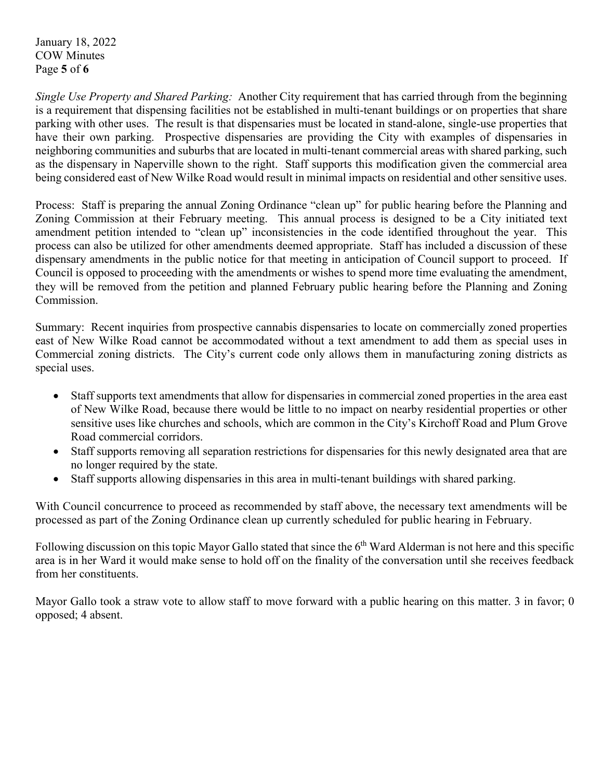January 18, 2022 COW Minutes Page **5** of **6**

*Single Use Property and Shared Parking:* Another City requirement that has carried through from the beginning is a requirement that dispensing facilities not be established in multi-tenant buildings or on properties that share parking with other uses. The result is that dispensaries must be located in stand-alone, single-use properties that have their own parking. Prospective dispensaries are providing the City with examples of dispensaries in neighboring communities and suburbs that are located in multi-tenant commercial areas with shared parking, such as the dispensary in Naperville shown to the right. Staff supports this modification given the commercial area being considered east of New Wilke Road would result in minimal impacts on residential and other sensitive uses.

Process: Staff is preparing the annual Zoning Ordinance "clean up" for public hearing before the Planning and Zoning Commission at their February meeting. This annual process is designed to be a City initiated text amendment petition intended to "clean up" inconsistencies in the code identified throughout the year. This process can also be utilized for other amendments deemed appropriate. Staff has included a discussion of these dispensary amendments in the public notice for that meeting in anticipation of Council support to proceed. If Council is opposed to proceeding with the amendments or wishes to spend more time evaluating the amendment, they will be removed from the petition and planned February public hearing before the Planning and Zoning Commission.

Summary: Recent inquiries from prospective cannabis dispensaries to locate on commercially zoned properties east of New Wilke Road cannot be accommodated without a text amendment to add them as special uses in Commercial zoning districts. The City's current code only allows them in manufacturing zoning districts as special uses.

- Staff supports text amendments that allow for dispensaries in commercial zoned properties in the area east of New Wilke Road, because there would be little to no impact on nearby residential properties or other sensitive uses like churches and schools, which are common in the City's Kirchoff Road and Plum Grove Road commercial corridors.
- Staff supports removing all separation restrictions for dispensaries for this newly designated area that are no longer required by the state.
- Staff supports allowing dispensaries in this area in multi-tenant buildings with shared parking.

With Council concurrence to proceed as recommended by staff above, the necessary text amendments will be processed as part of the Zoning Ordinance clean up currently scheduled for public hearing in February.

Following discussion on this topic Mayor Gallo stated that since the 6<sup>th</sup> Ward Alderman is not here and this specific area is in her Ward it would make sense to hold off on the finality of the conversation until she receives feedback from her constituents.

Mayor Gallo took a straw vote to allow staff to move forward with a public hearing on this matter. 3 in favor; 0 opposed; 4 absent.